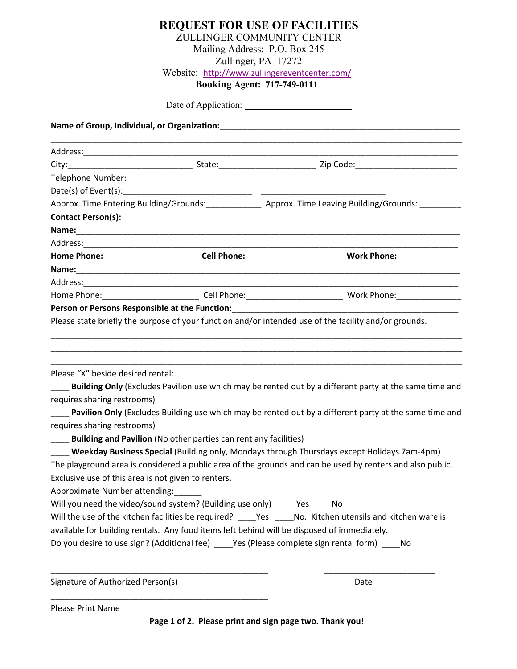|                                                                                                                                                                                                                                |                                                                  | ZULLINGER COMMUNITY CENTER                                                                                                                                                                                                     |
|--------------------------------------------------------------------------------------------------------------------------------------------------------------------------------------------------------------------------------|------------------------------------------------------------------|--------------------------------------------------------------------------------------------------------------------------------------------------------------------------------------------------------------------------------|
|                                                                                                                                                                                                                                |                                                                  | Mailing Address: P.O. Box 245                                                                                                                                                                                                  |
|                                                                                                                                                                                                                                |                                                                  | Zullinger, PA 17272                                                                                                                                                                                                            |
|                                                                                                                                                                                                                                |                                                                  | Website: http://www.zullingereventcenter.com/                                                                                                                                                                                  |
|                                                                                                                                                                                                                                |                                                                  | <b>Booking Agent: 717-749-0111</b>                                                                                                                                                                                             |
|                                                                                                                                                                                                                                |                                                                  |                                                                                                                                                                                                                                |
|                                                                                                                                                                                                                                |                                                                  | Name of Group, Individual, or Organization: Name of the Control of Control of the Control of the Control of the                                                                                                                |
|                                                                                                                                                                                                                                |                                                                  |                                                                                                                                                                                                                                |
|                                                                                                                                                                                                                                |                                                                  |                                                                                                                                                                                                                                |
|                                                                                                                                                                                                                                |                                                                  |                                                                                                                                                                                                                                |
|                                                                                                                                                                                                                                |                                                                  |                                                                                                                                                                                                                                |
|                                                                                                                                                                                                                                |                                                                  | Approx. Time Entering Building/Grounds:_______________ Approx. Time Leaving Building/Grounds: __________                                                                                                                       |
| <b>Contact Person(s):</b>                                                                                                                                                                                                      |                                                                  |                                                                                                                                                                                                                                |
|                                                                                                                                                                                                                                |                                                                  |                                                                                                                                                                                                                                |
| Address: Address: Address: Address: Address: Address: Address: Address: Address: Address: Address: Address: Address: Address: Address: Address: Address: Address: Address: Address: Address: Address: Address: Address: Addres |                                                                  |                                                                                                                                                                                                                                |
|                                                                                                                                                                                                                                |                                                                  | Home Phone: ______________________________Cell Phone:____________________________ Work Phone:________________                                                                                                                  |
|                                                                                                                                                                                                                                |                                                                  |                                                                                                                                                                                                                                |
|                                                                                                                                                                                                                                |                                                                  |                                                                                                                                                                                                                                |
|                                                                                                                                                                                                                                |                                                                  |                                                                                                                                                                                                                                |
|                                                                                                                                                                                                                                |                                                                  | Person or Persons Responsible at the Function: National Contract of the Contract of the Contract of the Contract of the Contract of the Contract of the Contract of the Contract of the Contract of the Contract of the Contra |
|                                                                                                                                                                                                                                |                                                                  | Please state briefly the purpose of your function and/or intended use of the facility and/or grounds.                                                                                                                          |
| Please "X" beside desired rental:                                                                                                                                                                                              |                                                                  | Building Only (Excludes Pavilion use which may be rented out by a different party at the same time and                                                                                                                         |
| requires sharing restrooms)                                                                                                                                                                                                    |                                                                  |                                                                                                                                                                                                                                |
|                                                                                                                                                                                                                                |                                                                  | Pavilion Only (Excludes Building use which may be rented out by a different party at the same time and                                                                                                                         |
| requires sharing restrooms)                                                                                                                                                                                                    |                                                                  |                                                                                                                                                                                                                                |
|                                                                                                                                                                                                                                | Building and Pavilion (No other parties can rent any facilities) |                                                                                                                                                                                                                                |
|                                                                                                                                                                                                                                |                                                                  | <b>Weekday Business Special</b> (Building only, Mondays through Thursdays except Holidays 7am-4pm)                                                                                                                             |
|                                                                                                                                                                                                                                |                                                                  | The playground area is considered a public area of the grounds and can be used by renters and also public.                                                                                                                     |
| Exclusive use of this area is not given to renters.                                                                                                                                                                            |                                                                  |                                                                                                                                                                                                                                |
| Approximate Number attending:                                                                                                                                                                                                  |                                                                  |                                                                                                                                                                                                                                |
| Will you need the video/sound system? (Building use only) ______ Yes _____ No                                                                                                                                                  |                                                                  |                                                                                                                                                                                                                                |
|                                                                                                                                                                                                                                |                                                                  | Will the use of the kitchen facilities be required? _____Yes _____No. Kitchen utensils and kitchen ware is                                                                                                                     |
|                                                                                                                                                                                                                                |                                                                  | available for building rentals. Any food items left behind will be disposed of immediately.                                                                                                                                    |
|                                                                                                                                                                                                                                |                                                                  | Do you desire to use sign? (Additional fee) _____Yes (Please complete sign rental form) _____No                                                                                                                                |
|                                                                                                                                                                                                                                |                                                                  |                                                                                                                                                                                                                                |
| Signature of Authorized Person(s)                                                                                                                                                                                              |                                                                  | Date                                                                                                                                                                                                                           |

**REQUEST FOR USE OF FACILITIES** 

Please Print Name

\_\_\_\_\_\_\_\_\_\_\_\_\_\_\_\_\_\_\_\_\_\_\_\_\_\_\_\_\_\_\_\_\_\_\_\_\_\_\_\_\_\_\_\_\_\_\_